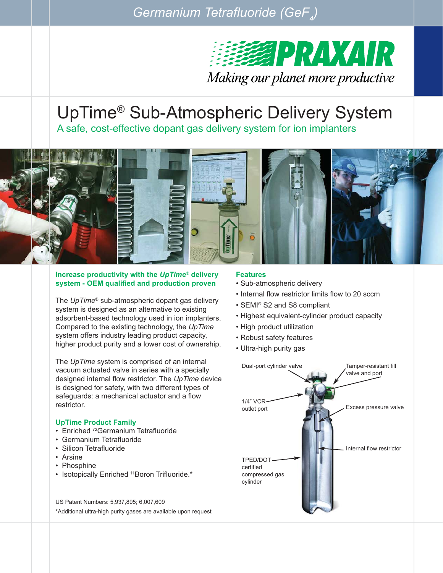*Germanium Tetrafluoride (GeF<sub>4</sub>)* 



# UpTime® Sub-Atmospheric Delivery System

A safe, cost-effective dopant gas delivery system for ion implanters



#### **Increase productivity with the** *UpTime®* **delivery system - OEM qualified and production proven**

The *UpTime®* sub-atmospheric dopant gas delivery system is designed as an alternative to existing adsorbent-based technology used in ion implanters. Compared to the existing technology, the *UpTime* system offers industry leading product capacity, higher product purity and a lower cost of ownership.

The *UpTime* system is comprised of an internal vacuum actuated valve in series with a specially designed internal flow restrictor. The *UpTime* device is designed for safety, with two different types of safeguards: a mechanical actuator and a flow restrictor.

### **UpTime Product Family**

- Enriched <sup>72</sup>Germanium Tetrafluoride
- Germanium Tetrafluoride
- Silicon Tetrafluoride
- Arsine
- Phosphine
- Isotopically Enriched <sup>11</sup>Boron Trifluoride.\*

US Patent Numbers: 5,937,895; 6,007,609 \*Additional ultra-high purity gases are available upon request

#### **Features**

- Sub-atmospheric delivery
- Internal flow restrictor limits flow to 20 sccm
- SEMI® S2 and S8 compliant
- Highest equivalent-cylinder product capacity
- High product utilization
- Robust safety features
- Ultra-high purity gas